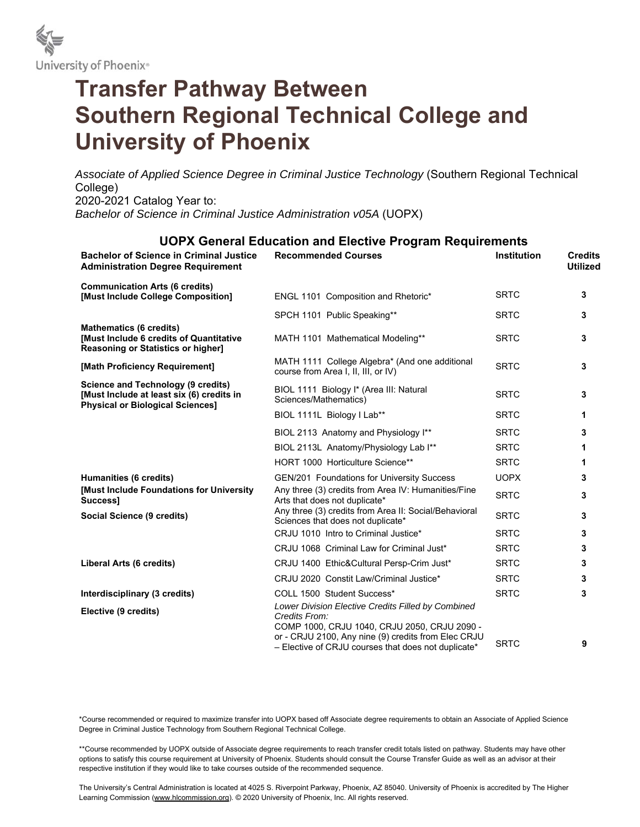

# **Transfer Pathway Between Southern Regional Technical College and University of Phoenix**

*Associate of Applied Science Degree in Criminal Justice Technology* (Southern Regional Technical College) 2020-2021 Catalog Year to: *Bachelor of Science in Criminal Justice Administration v05A* (UOPX)

## **UOPX General Education and Elective Program Requirements**

| <b>Bachelor of Science in Criminal Justice</b><br><b>Administration Degree Requirement</b>                                        | <b>Recommended Courses</b>                                                                                                                                                                                                        | <b>Institution</b> | <b>Credits</b><br><b>Utilized</b> |
|-----------------------------------------------------------------------------------------------------------------------------------|-----------------------------------------------------------------------------------------------------------------------------------------------------------------------------------------------------------------------------------|--------------------|-----------------------------------|
| <b>Communication Arts (6 credits)</b><br>[Must Include College Composition]                                                       | ENGL 1101 Composition and Rhetoric*                                                                                                                                                                                               | <b>SRTC</b>        | 3                                 |
|                                                                                                                                   | SPCH 1101 Public Speaking**                                                                                                                                                                                                       | <b>SRTC</b>        | 3                                 |
| <b>Mathematics (6 credits)</b><br>[Must Include 6 credits of Quantitative<br><b>Reasoning or Statistics or higher]</b>            | MATH 1101 Mathematical Modeling**                                                                                                                                                                                                 | <b>SRTC</b>        | 3                                 |
| [Math Proficiency Requirement]                                                                                                    | MATH 1111 College Algebra* (And one additional<br>course from Area I, II, III, or IV)                                                                                                                                             | <b>SRTC</b>        | 3                                 |
| <b>Science and Technology (9 credits)</b><br>[Must Include at least six (6) credits in<br><b>Physical or Biological Sciences]</b> | BIOL 1111 Biology I* (Area III: Natural<br>Sciences/Mathematics)                                                                                                                                                                  | <b>SRTC</b>        | 3                                 |
|                                                                                                                                   | BIOL 1111L Biology I Lab**                                                                                                                                                                                                        | <b>SRTC</b>        | 1                                 |
|                                                                                                                                   | BIOL 2113 Anatomy and Physiology I**                                                                                                                                                                                              | <b>SRTC</b>        | 3                                 |
|                                                                                                                                   | BIOL 2113L Anatomy/Physiology Lab I**                                                                                                                                                                                             | <b>SRTC</b>        | 1                                 |
|                                                                                                                                   | HORT 1000 Horticulture Science**                                                                                                                                                                                                  | <b>SRTC</b>        | 1                                 |
| Humanities (6 credits)                                                                                                            | GEN/201 Foundations for University Success                                                                                                                                                                                        | <b>UOPX</b>        | 3                                 |
| [Must Include Foundations for University<br>Success1                                                                              | Any three (3) credits from Area IV: Humanities/Fine<br>Arts that does not duplicate*                                                                                                                                              | <b>SRTC</b>        | 3                                 |
| Social Science (9 credits)                                                                                                        | Any three (3) credits from Area II: Social/Behavioral<br>Sciences that does not duplicate*                                                                                                                                        | <b>SRTC</b>        | 3                                 |
|                                                                                                                                   | CRJU 1010 Intro to Criminal Justice*                                                                                                                                                                                              | <b>SRTC</b>        | 3                                 |
|                                                                                                                                   | CRJU 1068 Criminal Law for Criminal Just*                                                                                                                                                                                         | <b>SRTC</b>        | 3                                 |
| Liberal Arts (6 credits)                                                                                                          | CRJU 1400 Ethic&Cultural Persp-Crim Just*                                                                                                                                                                                         | <b>SRTC</b>        | 3                                 |
|                                                                                                                                   | CRJU 2020 Constit Law/Criminal Justice*                                                                                                                                                                                           | <b>SRTC</b>        | 3                                 |
| Interdisciplinary (3 credits)                                                                                                     | COLL 1500 Student Success*                                                                                                                                                                                                        | <b>SRTC</b>        | 3                                 |
| Elective (9 credits)                                                                                                              | Lower Division Elective Credits Filled by Combined<br>Credits From:<br>COMP 1000, CRJU 1040, CRJU 2050, CRJU 2090 -<br>or - CRJU 2100, Any nine (9) credits from Elec CRJU<br>- Elective of CRJU courses that does not duplicate* | <b>SRTC</b>        | 9                                 |

\*Course recommended or required to maximize transfer into UOPX based off Associate degree requirements to obtain an Associate of Applied Science Degree in Criminal Justice Technology from Southern Regional Technical College.

\*\*Course recommended by UOPX outside of Associate degree requirements to reach transfer credit totals listed on pathway. Students may have other options to satisfy this course requirement at University of Phoenix. Students should consult the Course Transfer Guide as well as an advisor at their respective institution if they would like to take courses outside of the recommended sequence.

The University's Central Administration is located at 4025 S. Riverpoint Parkway, Phoenix, AZ 85040. University of Phoenix is accredited by The Higher Learning Commission (www.hlcommission.org). © 2020 University of Phoenix, Inc. All rights reserved.